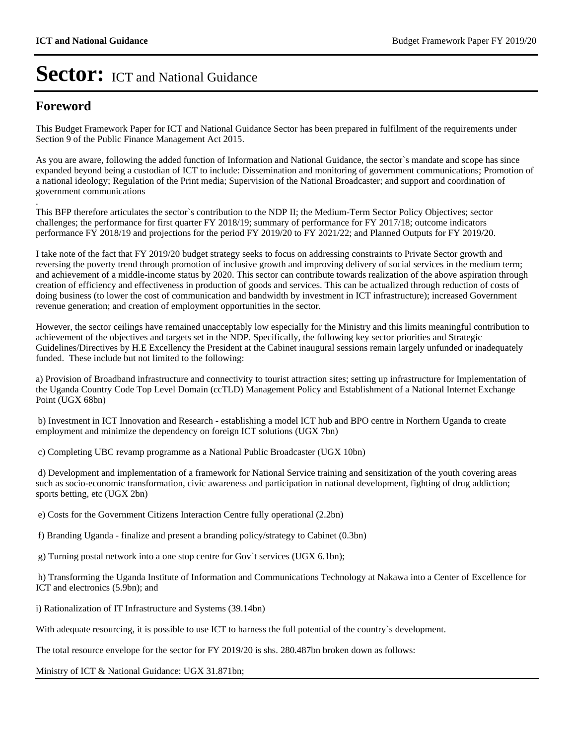### **Foreword**

This Budget Framework Paper for ICT and National Guidance Sector has been prepared in fulfilment of the requirements under Section 9 of the Public Finance Management Act 2015.

As you are aware, following the added function of Information and National Guidance, the sector`s mandate and scope has since expanded beyond being a custodian of ICT to include: Dissemination and monitoring of government communications; Promotion of a national ideology; Regulation of the Print media; Supervision of the National Broadcaster; and support and coordination of government communications

. This BFP therefore articulates the sector`s contribution to the NDP II; the Medium-Term Sector Policy Objectives; sector challenges; the performance for first quarter FY 2018/19; summary of performance for FY 2017/18; outcome indicators performance FY 2018/19 and projections for the period FY 2019/20 to FY 2021/22; and Planned Outputs for FY 2019/20.

I take note of the fact that FY 2019/20 budget strategy seeks to focus on addressing constraints to Private Sector growth and reversing the poverty trend through promotion of inclusive growth and improving delivery of social services in the medium term; and achievement of a middle-income status by 2020. This sector can contribute towards realization of the above aspiration through creation of efficiency and effectiveness in production of goods and services. This can be actualized through reduction of costs of doing business (to lower the cost of communication and bandwidth by investment in ICT infrastructure); increased Government revenue generation; and creation of employment opportunities in the sector.

However, the sector ceilings have remained unacceptably low especially for the Ministry and this limits meaningful contribution to achievement of the objectives and targets set in the NDP. Specifically, the following key sector priorities and Strategic Guidelines/Directives by H.E Excellency the President at the Cabinet inaugural sessions remain largely unfunded or inadequately funded. These include but not limited to the following:

a) Provision of Broadband infrastructure and connectivity to tourist attraction sites; setting up infrastructure for Implementation of the Uganda Country Code Top Level Domain (ccTLD) Management Policy and Establishment of a National Internet Exchange Point (UGX 68bn)

 b) Investment in ICT Innovation and Research - establishing a model ICT hub and BPO centre in Northern Uganda to create employment and minimize the dependency on foreign ICT solutions (UGX 7bn)

c) Completing UBC revamp programme as a National Public Broadcaster (UGX 10bn)

 d) Development and implementation of a framework for National Service training and sensitization of the youth covering areas such as socio-economic transformation, civic awareness and participation in national development, fighting of drug addiction; sports betting, etc (UGX 2bn)

e) Costs for the Government Citizens Interaction Centre fully operational (2.2bn)

f) Branding Uganda - finalize and present a branding policy/strategy to Cabinet (0.3bn)

g) Turning postal network into a one stop centre for Gov`t services (UGX 6.1bn);

 h) Transforming the Uganda Institute of Information and Communications Technology at Nakawa into a Center of Excellence for ICT and electronics (5.9bn); and

i) Rationalization of IT Infrastructure and Systems (39.14bn)

With adequate resourcing, it is possible to use ICT to harness the full potential of the country's development.

The total resource envelope for the sector for FY 2019/20 is shs. 280.487bn broken down as follows:

Ministry of ICT & National Guidance: UGX 31.871bn;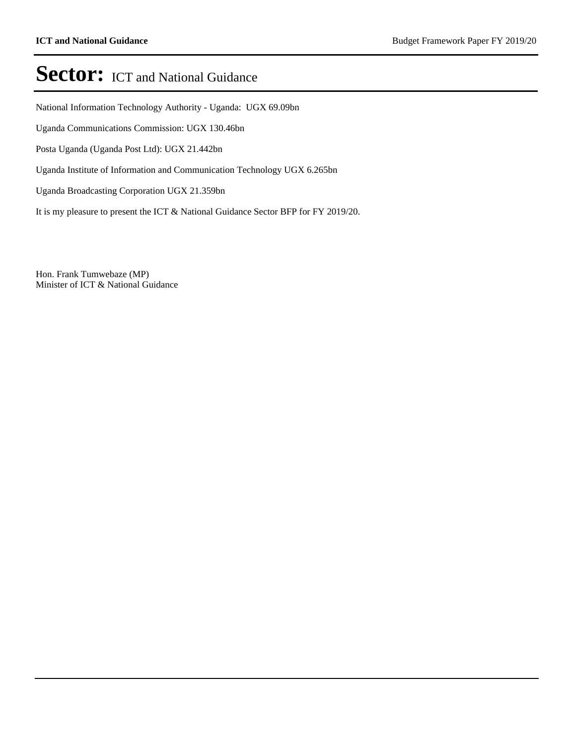National Information Technology Authority - Uganda: UGX 69.09bn

Uganda Communications Commission: UGX 130.46bn

Posta Uganda (Uganda Post Ltd): UGX 21.442bn

Uganda Institute of Information and Communication Technology UGX 6.265bn

Uganda Broadcasting Corporation UGX 21.359bn

It is my pleasure to present the ICT & National Guidance Sector BFP for FY 2019/20.

Hon. Frank Tumwebaze (MP) Minister of ICT & National Guidance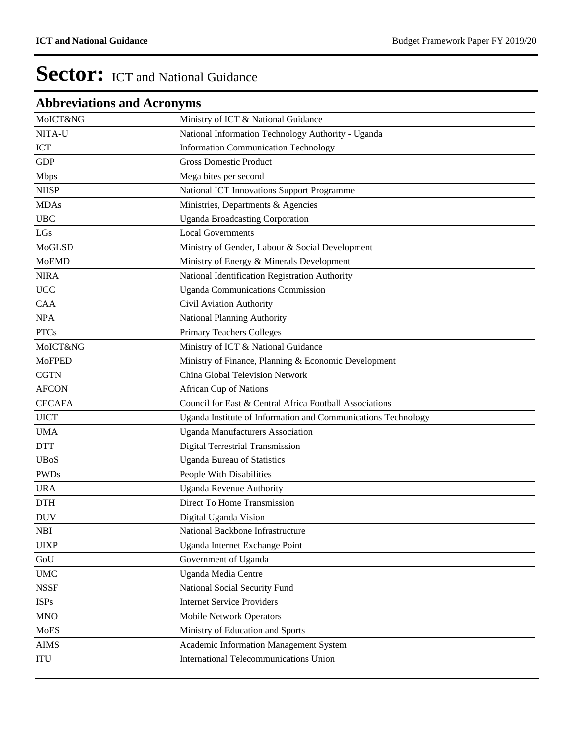| <b>Abbreviations and Acronyms</b> |                                                               |
|-----------------------------------|---------------------------------------------------------------|
| MoICT&NG                          | Ministry of ICT & National Guidance                           |
| NITA-U                            | National Information Technology Authority - Uganda            |
| <b>ICT</b>                        | <b>Information Communication Technology</b>                   |
| <b>GDP</b>                        | <b>Gross Domestic Product</b>                                 |
| <b>Mbps</b>                       | Mega bites per second                                         |
| <b>NIISP</b>                      | <b>National ICT Innovations Support Programme</b>             |
| <b>MDAs</b>                       | Ministries, Departments & Agencies                            |
| <b>UBC</b>                        | <b>Uganda Broadcasting Corporation</b>                        |
| LGs                               | <b>Local Governments</b>                                      |
| MoGLSD                            | Ministry of Gender, Labour & Social Development               |
| <b>MoEMD</b>                      | Ministry of Energy & Minerals Development                     |
| <b>NIRA</b>                       | National Identification Registration Authority                |
| <b>UCC</b>                        | <b>Uganda Communications Commission</b>                       |
| CAA                               | Civil Aviation Authority                                      |
| <b>NPA</b>                        | National Planning Authority                                   |
| <b>PTCs</b>                       | <b>Primary Teachers Colleges</b>                              |
| MoICT&NG                          | Ministry of ICT & National Guidance                           |
| <b>MoFPED</b>                     | Ministry of Finance, Planning & Economic Development          |
| <b>CGTN</b>                       | China Global Television Network                               |
| <b>AFCON</b>                      | <b>African Cup of Nations</b>                                 |
| <b>CECAFA</b>                     | Council for East & Central Africa Football Associations       |
| <b>UICT</b>                       | Uganda Institute of Information and Communications Technology |
| <b>UMA</b>                        | <b>Uganda Manufacturers Association</b>                       |
| <b>DTT</b>                        | <b>Digital Terrestrial Transmission</b>                       |
| <b>UBoS</b>                       | <b>Uganda Bureau of Statistics</b>                            |
| <b>PWDs</b>                       | People With Disabilities                                      |
| <b>URA</b>                        | Uganda Revenue Authority                                      |
| <b>DTH</b>                        | Direct To Home Transmission                                   |
| <b>DUV</b>                        | Digital Uganda Vision                                         |
| <b>NBI</b>                        | National Backbone Infrastructure                              |
| <b>UIXP</b>                       | Uganda Internet Exchange Point                                |
| GoU                               | Government of Uganda                                          |
| <b>UMC</b>                        | Uganda Media Centre                                           |
| <b>NSSF</b>                       | National Social Security Fund                                 |
| <b>ISPs</b>                       | <b>Internet Service Providers</b>                             |
| <b>MNO</b>                        | <b>Mobile Network Operators</b>                               |
| MoES                              | Ministry of Education and Sports                              |
| <b>AIMS</b>                       | Academic Information Management System                        |
| ITU                               | International Telecommunications Union                        |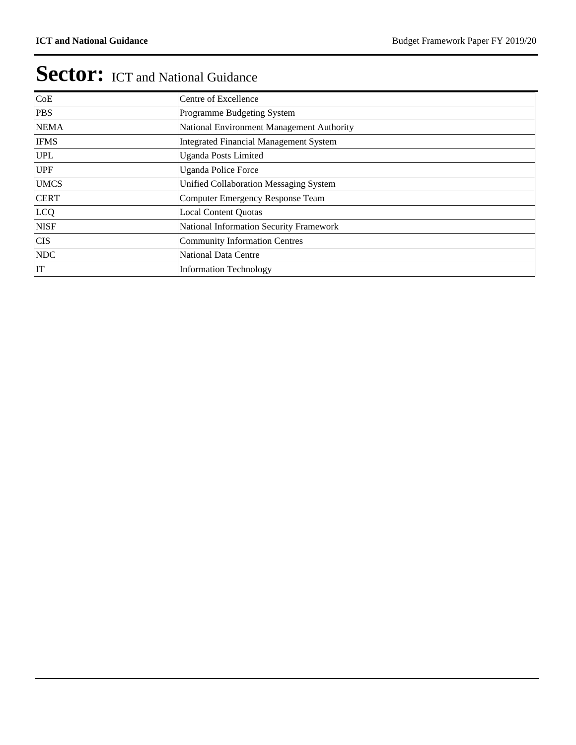| CoE         | Centre of Excellence                          |
|-------------|-----------------------------------------------|
| <b>PBS</b>  | Programme Budgeting System                    |
| <b>NEMA</b> | National Environment Management Authority     |
| <b>IFMS</b> | <b>Integrated Financial Management System</b> |
| <b>UPL</b>  | <b>Uganda Posts Limited</b>                   |
| <b>UPF</b>  | <b>Uganda Police Force</b>                    |
| <b>UMCS</b> | Unified Collaboration Messaging System        |
| <b>CERT</b> | Computer Emergency Response Team              |
| LCQ         | <b>Local Content Quotas</b>                   |
| <b>NISF</b> | National Information Security Framework       |
| <b>CIS</b>  | <b>Community Information Centres</b>          |
| <b>NDC</b>  | <b>National Data Centre</b>                   |
| IT          | <b>Information Technology</b>                 |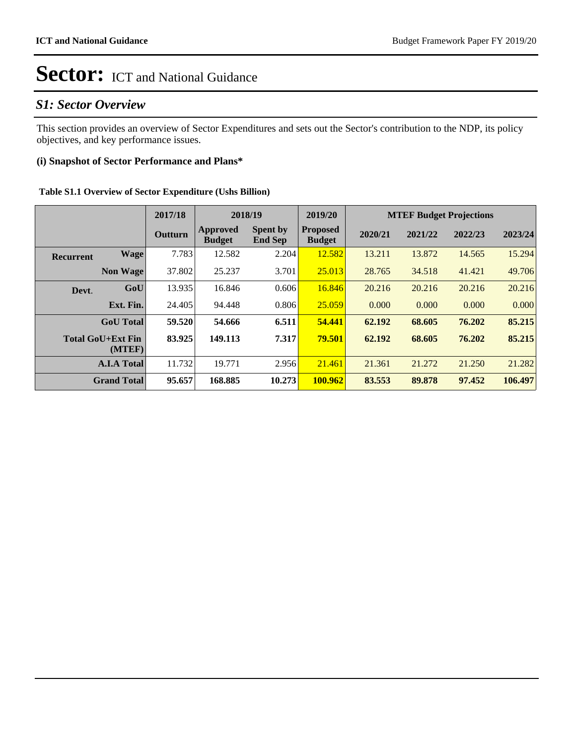### *S1: Sector Overview*

This section provides an overview of Sector Expenditures and sets out the Sector's contribution to the NDP, its policy objectives, and key performance issues.

### **(i) Snapshot of Sector Performance and Plans\***

#### **Table S1.1 Overview of Sector Expenditure (Ushs Billion)**

|                  |                                    | 2017/18 |                           | 2018/19                           | 2019/20                          |         |         | <b>MTEF Budget Projections</b> |         |
|------------------|------------------------------------|---------|---------------------------|-----------------------------------|----------------------------------|---------|---------|--------------------------------|---------|
|                  |                                    | Outturn | Approved<br><b>Budget</b> | <b>Spent by</b><br><b>End Sep</b> | <b>Proposed</b><br><b>Budget</b> | 2020/21 | 2021/22 | 2022/23                        | 2023/24 |
| <b>Recurrent</b> | <b>Wage</b>                        | 7.783   | 12.582                    | 2.204                             | 12.582                           | 13.211  | 13.872  | 14.565                         | 15.294  |
|                  | <b>Non Wage</b>                    | 37.802  | 25.237                    | 3.701                             | 25.013                           | 28.765  | 34.518  | 41.421                         | 49.706  |
| Devt.            | GoU                                | 13.935  | 16.846                    | 0.606                             | 16.846                           | 20.216  | 20.216  | 20.216                         | 20.216  |
|                  | Ext. Fin.                          | 24.405  | 94.448                    | 0.806                             | 25.059                           | 0.000   | 0.000   | 0.000                          | 0.000   |
|                  | <b>GoU</b> Total                   | 59.520  | 54.666                    | 6.511                             | 54,441                           | 62.192  | 68.605  | 76.202                         | 85.215  |
|                  | <b>Total GoU+Ext Fin</b><br>(MTEF) | 83.925  | 149.113                   | 7.317                             | 79.501                           | 62.192  | 68.605  | 76.202                         | 85.215  |
|                  | <b>A.I.A Total</b>                 | 11.732  | 19.771                    | 2.956                             | 21.461                           | 21.361  | 21.272  | 21.250                         | 21.282  |
|                  | <b>Grand Total</b>                 | 95.657  | 168.885                   | 10.273                            | 100.962                          | 83.553  | 89.878  | 97.452                         | 106.497 |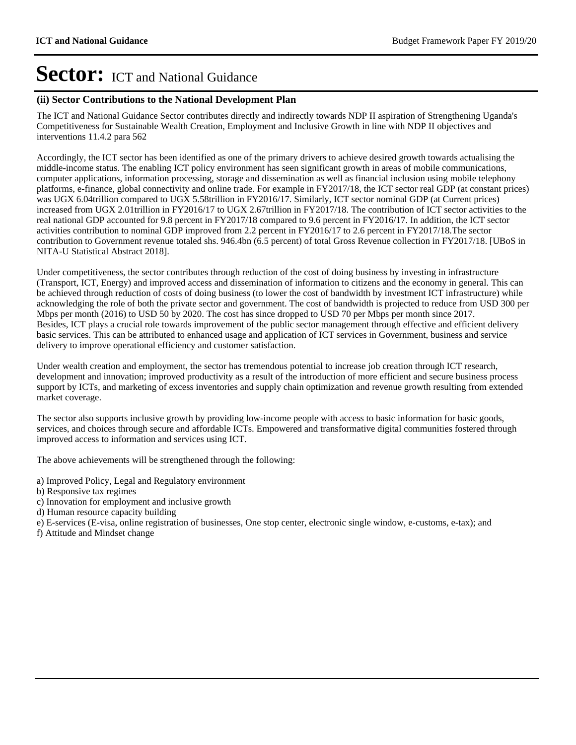#### **(ii) Sector Contributions to the National Development Plan**

The ICT and National Guidance Sector contributes directly and indirectly towards NDP II aspiration of Strengthening Uganda's Competitiveness for Sustainable Wealth Creation, Employment and Inclusive Growth in line with NDP II objectives and interventions 11.4.2 para 562

Accordingly, the ICT sector has been identified as one of the primary drivers to achieve desired growth towards actualising the middle-income status. The enabling ICT policy environment has seen significant growth in areas of mobile communications, computer applications, information processing, storage and dissemination as well as financial inclusion using mobile telephony platforms, e-finance, global connectivity and online trade. For example in FY2017/18, the ICT sector real GDP (at constant prices) was UGX 6.04trillion compared to UGX 5.58trillion in FY2016/17. Similarly, ICT sector nominal GDP (at Current prices) increased from UGX 2.01trillion in FY2016/17 to UGX 2.67trillion in FY2017/18. The contribution of ICT sector activities to the real national GDP accounted for 9.8 percent in FY2017/18 compared to 9.6 percent in FY2016/17. In addition, the ICT sector activities contribution to nominal GDP improved from 2.2 percent in FY2016/17 to 2.6 percent in FY2017/18.The sector contribution to Government revenue totaled shs. 946.4bn (6.5 percent) of total Gross Revenue collection in FY2017/18. [UBoS in NITA-U Statistical Abstract 2018].

Under competitiveness, the sector contributes through reduction of the cost of doing business by investing in infrastructure (Transport, ICT, Energy) and improved access and dissemination of information to citizens and the economy in general. This can be achieved through reduction of costs of doing business (to lower the cost of bandwidth by investment ICT infrastructure) while acknowledging the role of both the private sector and government. The cost of bandwidth is projected to reduce from USD 300 per Mbps per month (2016) to USD 50 by 2020. The cost has since dropped to USD 70 per Mbps per month since 2017. Besides, ICT plays a crucial role towards improvement of the public sector management through effective and efficient delivery basic services. This can be attributed to enhanced usage and application of ICT services in Government, business and service delivery to improve operational efficiency and customer satisfaction.

Under wealth creation and employment, the sector has tremendous potential to increase job creation through ICT research, development and innovation; improved productivity as a result of the introduction of more efficient and secure business process support by ICTs, and marketing of excess inventories and supply chain optimization and revenue growth resulting from extended market coverage.

The sector also supports inclusive growth by providing low-income people with access to basic information for basic goods, services, and choices through secure and affordable ICTs. Empowered and transformative digital communities fostered through improved access to information and services using ICT.

The above achievements will be strengthened through the following:

- a) Improved Policy, Legal and Regulatory environment
- b) Responsive tax regimes
- c) Innovation for employment and inclusive growth
- d) Human resource capacity building
- e) E-services (E-visa, online registration of businesses, One stop center, electronic single window, e-customs, e-tax); and
- f) Attitude and Mindset change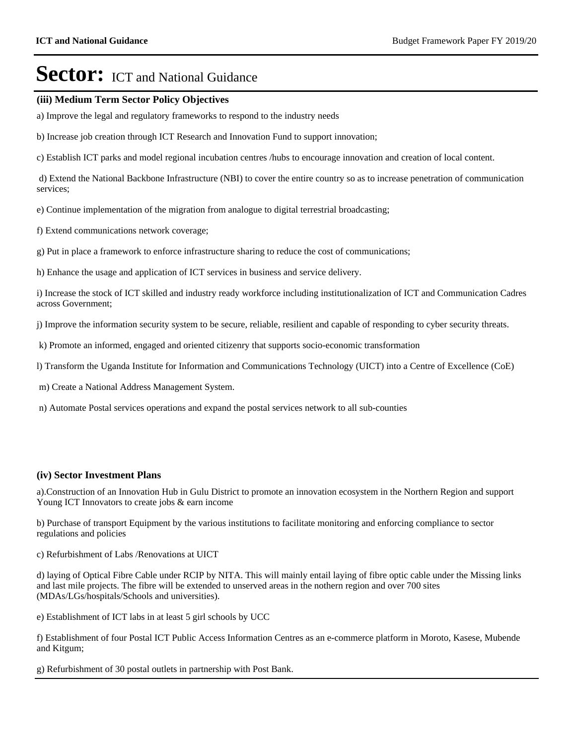#### **(iii) Medium Term Sector Policy Objectives**

a) Improve the legal and regulatory frameworks to respond to the industry needs

b) Increase job creation through ICT Research and Innovation Fund to support innovation;

c) Establish ICT parks and model regional incubation centres /hubs to encourage innovation and creation of local content.

 d) Extend the National Backbone Infrastructure (NBI) to cover the entire country so as to increase penetration of communication services;

e) Continue implementation of the migration from analogue to digital terrestrial broadcasting;

f) Extend communications network coverage;

g) Put in place a framework to enforce infrastructure sharing to reduce the cost of communications;

h) Enhance the usage and application of ICT services in business and service delivery.

i) Increase the stock of ICT skilled and industry ready workforce including institutionalization of ICT and Communication Cadres across Government;

j) Improve the information security system to be secure, reliable, resilient and capable of responding to cyber security threats.

k) Promote an informed, engaged and oriented citizenry that supports socio-economic transformation

l) Transform the Uganda Institute for Information and Communications Technology (UICT) into a Centre of Excellence (CoE)

m) Create a National Address Management System.

n) Automate Postal services operations and expand the postal services network to all sub-counties

#### **(iv) Sector Investment Plans**

a).Construction of an Innovation Hub in Gulu District to promote an innovation ecosystem in the Northern Region and support Young ICT Innovators to create jobs & earn income

b) Purchase of transport Equipment by the various institutions to facilitate monitoring and enforcing compliance to sector regulations and policies

c) Refurbishment of Labs /Renovations at UICT

d) laying of Optical Fibre Cable under RCIP by NITA. This will mainly entail laying of fibre optic cable under the Missing links and last mile projects. The fibre will be extended to unserved areas in the nothern region and over 700 sites (MDAs/LGs/hospitals/Schools and universities).

e) Establishment of ICT labs in at least 5 girl schools by UCC

f) Establishment of four Postal ICT Public Access Information Centres as an e-commerce platform in Moroto, Kasese, Mubende and Kitgum;

g) Refurbishment of 30 postal outlets in partnership with Post Bank.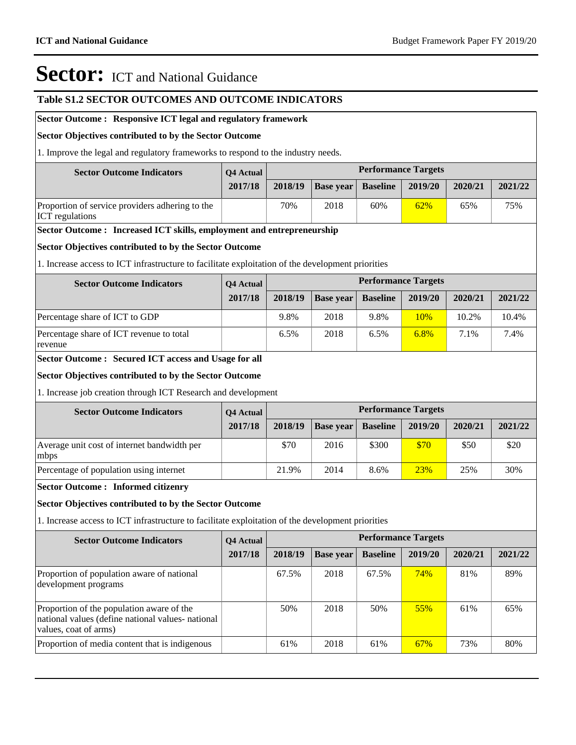#### **Table S1.2 SECTOR OUTCOMES AND OUTCOME INDICATORS**

#### **Sector Outcome : Responsive ICT legal and regulatory framework**

#### **Sector Objectives contributed to by the Sector Outcome**

1. Improve the legal and regulatory frameworks to respond to the industry needs.

| <b>Sector Outcome Indicators</b>                                          | <b>O4 Actual</b> |         |                  |                 | <b>Performance Targets</b> |         |         |
|---------------------------------------------------------------------------|------------------|---------|------------------|-----------------|----------------------------|---------|---------|
|                                                                           | 2017/18          | 2018/19 | <b>Base vear</b> | <b>Baseline</b> | 2019/20                    | 2020/21 | 2021/22 |
| Proportion of service providers adhering to the<br><b>ICT</b> regulations |                  | 70%     | 2018             | 60%             | 62%                        | 65%     | 75%     |

#### **Sector Outcome : Increased ICT skills, employment and entrepreneurship**

#### **Sector Objectives contributed to by the Sector Outcome**

1. Increase access to ICT infrastructure to facilitate exploitation of the development priorities

| <b>Sector Outcome Indicators</b>                    | <b>O4 Actual</b> |         |                  |                 | <b>Performance Targets</b> |         |         |
|-----------------------------------------------------|------------------|---------|------------------|-----------------|----------------------------|---------|---------|
|                                                     | 2017/18          | 2018/19 | <b>Base year</b> | <b>Baseline</b> | 2019/20                    | 2020/21 | 2021/22 |
| Percentage share of ICT to GDP                      |                  | 9.8%    | 2018             | 9.8%            | 10%                        | 10.2%   | 10.4%   |
| Percentage share of ICT revenue to total<br>revenue |                  | 6.5%    | 2018             | 6.5%            | 6.8%                       | 7.1%    | 7.4%    |

#### **Sector Outcome : Secured ICT access and Usage for all**

#### **Sector Objectives contributed to by the Sector Outcome**

1. Increase job creation through ICT Research and development

| <b>Sector Outcome Indicators</b>                    | <b>O4</b> Actual | <b>Performance Targets</b> |                  |                 |         |         |         |  |
|-----------------------------------------------------|------------------|----------------------------|------------------|-----------------|---------|---------|---------|--|
|                                                     | 2017/18          | 2018/19                    | <b>Base year</b> | <b>Baseline</b> | 2019/20 | 2020/21 | 2021/22 |  |
| Average unit cost of internet bandwidth per<br>mbps |                  | \$70                       | 2016             | \$300           | \$70    | \$50    | \$20    |  |
| Percentage of population using internet             |                  | 21.9%                      | 2014             | 8.6%            | 23%     | 25%     | 30%     |  |

#### **Sector Outcome : Informed citizenry**

#### **Sector Objectives contributed to by the Sector Outcome**

1. Increase access to ICT infrastructure to facilitate exploitation of the development priorities

| <b>Sector Outcome Indicators</b>                                                                                        | <b>Q4 Actual</b> |         |                  |                 | <b>Performance Targets</b> |         |         |
|-------------------------------------------------------------------------------------------------------------------------|------------------|---------|------------------|-----------------|----------------------------|---------|---------|
|                                                                                                                         | 2017/18          | 2018/19 | <b>Base year</b> | <b>Baseline</b> | 2019/20                    | 2020/21 | 2021/22 |
| Proportion of population aware of national<br>development programs                                                      |                  | 67.5%   | 2018             | 67.5%           | <b>74%</b>                 | 81%     | 89%     |
| Proportion of the population aware of the<br>national values (define national values- national<br>values, coat of arms) |                  | 50%     | 2018             | 50%             | 55%                        | 61%     | 65%     |
| Proportion of media content that is indigenous                                                                          |                  | 61%     | 2018             | 61%             | 67%                        | 73%     | 80%     |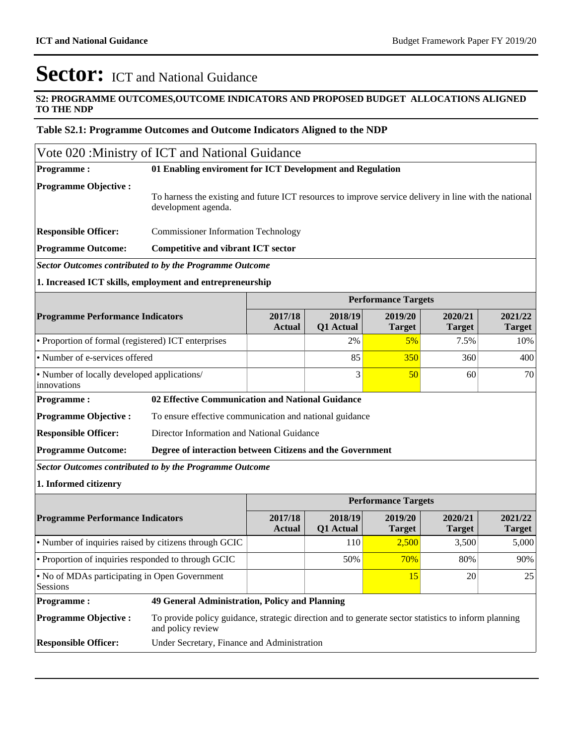h

## Sector: ICT and National Guidance

#### **S2: PROGRAMME OUTCOMES,OUTCOME INDICATORS AND PROPOSED BUDGET ALLOCATIONS ALIGNED TO THE NDP**

#### **Table S2.1: Programme Outcomes and Outcome Indicators Aligned to the NDP**

| Vote 020: Ministry of ICT and National Guidance                |                                                                                                                           |                                                                                                        |                      |                            |                          |                          |  |  |  |  |  |
|----------------------------------------------------------------|---------------------------------------------------------------------------------------------------------------------------|--------------------------------------------------------------------------------------------------------|----------------------|----------------------------|--------------------------|--------------------------|--|--|--|--|--|
| <b>Programme:</b>                                              | 01 Enabling enviroment for ICT Development and Regulation                                                                 |                                                                                                        |                      |                            |                          |                          |  |  |  |  |  |
| <b>Programme Objective:</b>                                    | development agenda.                                                                                                       | To harness the existing and future ICT resources to improve service delivery in line with the national |                      |                            |                          |                          |  |  |  |  |  |
| <b>Responsible Officer:</b>                                    |                                                                                                                           | <b>Commissioner Information Technology</b>                                                             |                      |                            |                          |                          |  |  |  |  |  |
| <b>Programme Outcome:</b>                                      | <b>Competitive and vibrant ICT sector</b>                                                                                 |                                                                                                        |                      |                            |                          |                          |  |  |  |  |  |
| <b>Sector Outcomes contributed to by the Programme Outcome</b> |                                                                                                                           |                                                                                                        |                      |                            |                          |                          |  |  |  |  |  |
| 1. Increased ICT skills, employment and entrepreneurship       |                                                                                                                           |                                                                                                        |                      |                            |                          |                          |  |  |  |  |  |
|                                                                |                                                                                                                           |                                                                                                        |                      | <b>Performance Targets</b> |                          |                          |  |  |  |  |  |
| <b>Programme Performance Indicators</b>                        |                                                                                                                           | 2017/18<br><b>Actual</b>                                                                               | 2018/19<br>Q1 Actual | 2019/20<br><b>Target</b>   | 2020/21<br><b>Target</b> | 2021/22<br><b>Target</b> |  |  |  |  |  |
| • Proportion of formal (registered) ICT enterprises            |                                                                                                                           | 2%                                                                                                     | 5%                   | 7.5%                       | 10%                      |                          |  |  |  |  |  |
| • Number of e-services offered                                 |                                                                                                                           |                                                                                                        | 85                   | 350                        | 360                      | 400                      |  |  |  |  |  |
| • Number of locally developed applications/<br>innovations     |                                                                                                                           |                                                                                                        | 3                    | 50                         | 60                       | 70                       |  |  |  |  |  |
| <b>Programme:</b>                                              | 02 Effective Communication and National Guidance                                                                          |                                                                                                        |                      |                            |                          |                          |  |  |  |  |  |
| <b>Programme Objective:</b>                                    | To ensure effective communication and national guidance                                                                   |                                                                                                        |                      |                            |                          |                          |  |  |  |  |  |
| <b>Responsible Officer:</b>                                    | Director Information and National Guidance                                                                                |                                                                                                        |                      |                            |                          |                          |  |  |  |  |  |
| <b>Programme Outcome:</b>                                      | Degree of interaction between Citizens and the Government                                                                 |                                                                                                        |                      |                            |                          |                          |  |  |  |  |  |
| <b>Sector Outcomes contributed to by the Programme Outcome</b> |                                                                                                                           |                                                                                                        |                      |                            |                          |                          |  |  |  |  |  |
| 1. Informed citizenry                                          |                                                                                                                           |                                                                                                        |                      |                            |                          |                          |  |  |  |  |  |
|                                                                |                                                                                                                           |                                                                                                        |                      | <b>Performance Targets</b> |                          |                          |  |  |  |  |  |
| <b>Programme Performance Indicators</b>                        |                                                                                                                           | 2017/18<br><b>Actual</b>                                                                               | 2018/19<br>Q1 Actual | 2019/20<br><b>Target</b>   | 2020/21<br><b>Target</b> | 2021/22<br><b>Target</b> |  |  |  |  |  |
| • Number of inquiries raised by citizens through GCIC          |                                                                                                                           |                                                                                                        | 110                  | 2,500                      | 3,500                    | 5,000                    |  |  |  |  |  |
| • Proportion of inquiries responded to through GCIC            |                                                                                                                           |                                                                                                        | 50%                  | 70%                        | 80%                      | 90%                      |  |  |  |  |  |
| • No of MDAs participating in Open Government<br>Sessions      |                                                                                                                           |                                                                                                        |                      | 15                         | 20                       | 25                       |  |  |  |  |  |
| <b>Programme:</b>                                              | 49 General Administration, Policy and Planning                                                                            |                                                                                                        |                      |                            |                          |                          |  |  |  |  |  |
| <b>Programme Objective:</b>                                    | To provide policy guidance, strategic direction and to generate sector statistics to inform planning<br>and policy review |                                                                                                        |                      |                            |                          |                          |  |  |  |  |  |
| <b>Responsible Officer:</b>                                    | Under Secretary, Finance and Administration                                                                               |                                                                                                        |                      |                            |                          |                          |  |  |  |  |  |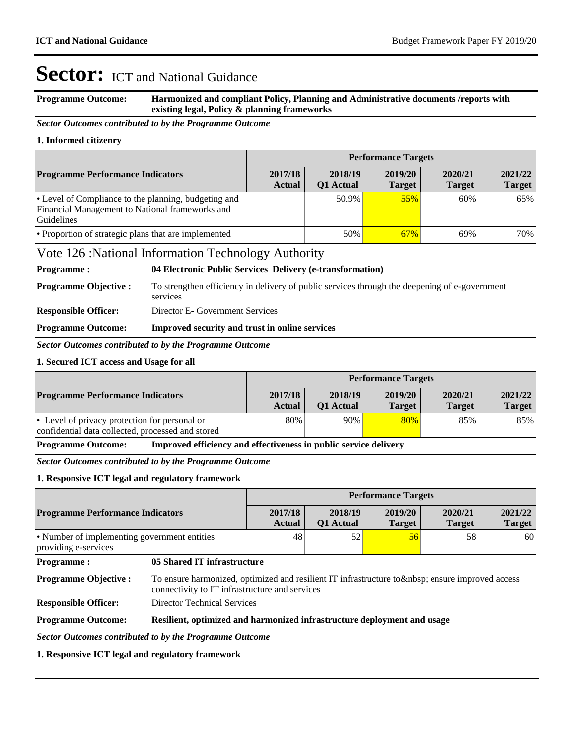| <b>Programme Outcome:</b>                                                                                             | Harmonized and compliant Policy, Planning and Administrative documents /reports with<br>existing legal, Policy & planning frameworks          |                          |                      |                            |                          |                          |
|-----------------------------------------------------------------------------------------------------------------------|-----------------------------------------------------------------------------------------------------------------------------------------------|--------------------------|----------------------|----------------------------|--------------------------|--------------------------|
| Sector Outcomes contributed to by the Programme Outcome                                                               |                                                                                                                                               |                          |                      |                            |                          |                          |
| 1. Informed citizenry                                                                                                 |                                                                                                                                               |                          |                      |                            |                          |                          |
|                                                                                                                       |                                                                                                                                               |                          |                      | <b>Performance Targets</b> |                          |                          |
| <b>Programme Performance Indicators</b>                                                                               |                                                                                                                                               | 2017/18<br>Actual        | 2018/19<br>Q1 Actual | 2019/20<br><b>Target</b>   | 2020/21<br><b>Target</b> | 2021/22<br><b>Target</b> |
| • Level of Compliance to the planning, budgeting and<br>Financial Management to National frameworks and<br>Guidelines |                                                                                                                                               |                          | 50.9%                | 55%                        | 60%                      | 65%                      |
| • Proportion of strategic plans that are implemented                                                                  |                                                                                                                                               |                          | 50%                  | 67%                        | 69%                      | 70%                      |
|                                                                                                                       | Vote 126 : National Information Technology Authority                                                                                          |                          |                      |                            |                          |                          |
| <b>Programme:</b>                                                                                                     | 04 Electronic Public Services Delivery (e-transformation)                                                                                     |                          |                      |                            |                          |                          |
| <b>Programme Objective:</b>                                                                                           | To strengthen efficiency in delivery of public services through the deepening of e-government<br>services                                     |                          |                      |                            |                          |                          |
| <b>Responsible Officer:</b>                                                                                           | Director E- Government Services                                                                                                               |                          |                      |                            |                          |                          |
| <b>Programme Outcome:</b>                                                                                             | Improved security and trust in online services                                                                                                |                          |                      |                            |                          |                          |
|                                                                                                                       | <b>Sector Outcomes contributed to by the Programme Outcome</b>                                                                                |                          |                      |                            |                          |                          |
| 1. Secured ICT access and Usage for all                                                                               |                                                                                                                                               |                          |                      |                            |                          |                          |
|                                                                                                                       |                                                                                                                                               |                          |                      | <b>Performance Targets</b> |                          |                          |
| <b>Programme Performance Indicators</b>                                                                               |                                                                                                                                               | 2017/18<br>Actual        | 2018/19<br>Q1 Actual | 2019/20<br><b>Target</b>   | 2020/21<br><b>Target</b> | 2021/22<br><b>Target</b> |
| • Level of privacy protection for personal or<br>confidential data collected, processed and stored                    |                                                                                                                                               | 80%                      | 90%                  | 80%                        | 85%                      | 85%                      |
| <b>Programme Outcome:</b>                                                                                             | Improved efficiency and effectiveness in public service delivery                                                                              |                          |                      |                            |                          |                          |
|                                                                                                                       | <b>Sector Outcomes contributed to by the Programme Outcome</b>                                                                                |                          |                      |                            |                          |                          |
| 1. Responsive ICT legal and regulatory framework                                                                      |                                                                                                                                               |                          |                      |                            |                          |                          |
|                                                                                                                       |                                                                                                                                               |                          |                      | <b>Performance Targets</b> |                          |                          |
| <b>Programme Performance Indicators</b>                                                                               |                                                                                                                                               | 2017/18<br><b>Actual</b> | 2018/19<br>Q1 Actual | 2019/20<br><b>Target</b>   | 2020/21<br><b>Target</b> | 2021/22<br><b>Target</b> |
| • Number of implementing government entities<br>providing e-services                                                  |                                                                                                                                               | 48                       | 52                   | 56                         | 58                       | 60                       |
| <b>Programme:</b>                                                                                                     | 05 Shared IT infrastructure                                                                                                                   |                          |                      |                            |                          |                          |
| <b>Programme Objective:</b>                                                                                           | To ensure harmonized, optimized and resilient IT infrastructure to   ensure improved access<br>connectivity to IT infrastructure and services |                          |                      |                            |                          |                          |
| <b>Responsible Officer:</b>                                                                                           | <b>Director Technical Services</b>                                                                                                            |                          |                      |                            |                          |                          |
| <b>Programme Outcome:</b>                                                                                             | Resilient, optimized and harmonized infrastructure deployment and usage                                                                       |                          |                      |                            |                          |                          |
|                                                                                                                       | <b>Sector Outcomes contributed to by the Programme Outcome</b>                                                                                |                          |                      |                            |                          |                          |
| 1. Responsive ICT legal and regulatory framework                                                                      |                                                                                                                                               |                          |                      |                            |                          |                          |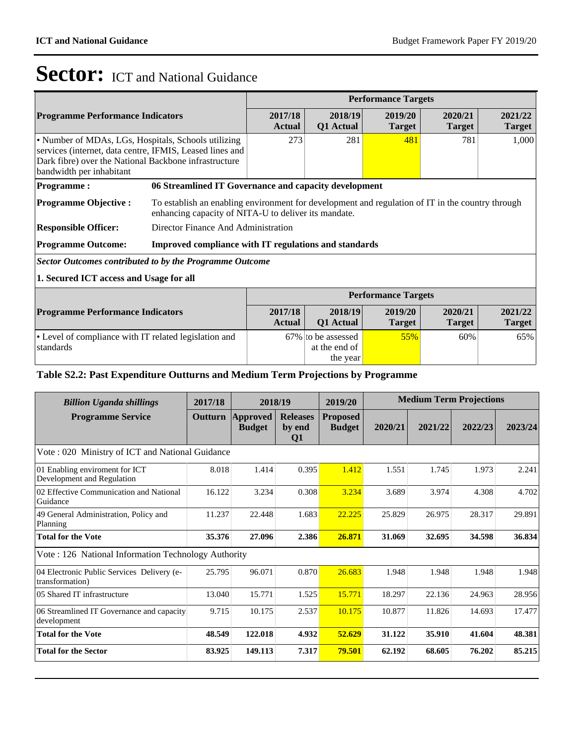standards

## Sector: ICT and National Guidance

| <b>Programme Performance Indicators</b>                                                                                                                                                              |                                                       | 2017/18<br><b>Actual</b>                                                                                                                                 | 2018/19<br>Q1 Actual | <b>Performance Targets</b><br>2019/20<br><b>Target</b><br>481<br><b>Performance Targets</b><br>2019/20<br><b>Target</b> | 2020/21<br><b>Target</b> | 2021/22<br><b>Target</b> |  |
|------------------------------------------------------------------------------------------------------------------------------------------------------------------------------------------------------|-------------------------------------------------------|----------------------------------------------------------------------------------------------------------------------------------------------------------|----------------------|-------------------------------------------------------------------------------------------------------------------------|--------------------------|--------------------------|--|
| • Number of MDAs, LGs, Hospitals, Schools utilizing<br>services (internet, data centre, IFMIS, Leased lines and<br>Dark fibre) over the National Backbone infrastructure<br>bandwidth per inhabitant |                                                       | 273                                                                                                                                                      | 281                  |                                                                                                                         | 781                      | 1,000                    |  |
| <b>Programme:</b>                                                                                                                                                                                    |                                                       | 06 Streamlined IT Governance and capacity development                                                                                                    |                      |                                                                                                                         |                          |                          |  |
| <b>Programme Objective:</b>                                                                                                                                                                          |                                                       | To establish an enabling environment for development and regulation of IT in the country through<br>enhancing capacity of NITA-U to deliver its mandate. |                      |                                                                                                                         |                          |                          |  |
| <b>Responsible Officer:</b>                                                                                                                                                                          | Director Finance And Administration                   |                                                                                                                                                          |                      |                                                                                                                         |                          |                          |  |
| <b>Programme Outcome:</b>                                                                                                                                                                            | Improved compliance with IT regulations and standards |                                                                                                                                                          |                      |                                                                                                                         |                          |                          |  |
| Sector Outcomes contributed to by the Programme Outcome                                                                                                                                              |                                                       |                                                                                                                                                          |                      |                                                                                                                         |                          |                          |  |
| 1. Secured ICT access and Usage for all                                                                                                                                                              |                                                       |                                                                                                                                                          |                      |                                                                                                                         |                          |                          |  |
|                                                                                                                                                                                                      |                                                       |                                                                                                                                                          |                      |                                                                                                                         |                          |                          |  |
| <b>Programme Performance Indicators</b>                                                                                                                                                              |                                                       | 2017/18<br><b>Actual</b>                                                                                                                                 | 2018/19<br>Q1 Actual |                                                                                                                         | 2020/21<br><b>Target</b> | 2021/22<br><b>Target</b> |  |
| • Level of compliance with IT related legislation and                                                                                                                                                |                                                       |                                                                                                                                                          | 67% to be assessed   | 55%                                                                                                                     | 60%                      | 65%                      |  |

 at the end of the year

#### **Table S2.2: Past Expenditure Outturns and Medium Term Projections by Programme**

| <b>Billion Uganda shillings</b>                               | 2017/18 | 2018/19                          |                                 | 2019/20                          | <b>Medium Term Projections</b> |         |         |         |
|---------------------------------------------------------------|---------|----------------------------------|---------------------------------|----------------------------------|--------------------------------|---------|---------|---------|
| <b>Programme Service</b>                                      | Outturn | <b>Approved</b><br><b>Budget</b> | <b>Releases</b><br>by end<br>Q1 | <b>Proposed</b><br><b>Budget</b> | 2020/21                        | 2021/22 | 2022/23 | 2023/24 |
| Vote: 020 Ministry of ICT and National Guidance               |         |                                  |                                 |                                  |                                |         |         |         |
| 01 Enabling enviroment for ICT<br>Development and Regulation  | 8.018   | 1.414                            | 0.395                           | 1.412                            | 1.551                          | 1.745   | 1.973   | 2.241   |
| 02 Effective Communication and National<br>Guidance           | 16.122  | 3.234                            | 0.308                           | 3.234                            | 3.689                          | 3.974   | 4.308   | 4.702   |
| 49 General Administration, Policy and<br>Planning             | 11.237  | 22.448                           | 1.683                           | 22.225                           | 25.829                         | 26.975  | 28.317  | 29.891  |
| <b>Total for the Vote</b>                                     | 35.376  | 27.096                           | 2.386                           | 26.871                           | 31.069                         | 32.695  | 34.598  | 36.834  |
| Vote: 126 National Information Technology Authority           |         |                                  |                                 |                                  |                                |         |         |         |
| 04 Electronic Public Services Delivery (e-<br>transformation) | 25.795  | 96.071                           | 0.870                           | 26.683                           | 1.948                          | 1.948   | 1.948   | 1.948   |
| 05 Shared IT infrastructure                                   | 13.040  | 15.771                           | 1.525                           | 15.771                           | 18.297                         | 22.136  | 24.963  | 28.956  |
| 06 Streamlined IT Governance and capacity<br>development      | 9.715   | 10.175                           | 2.537                           | 10.175                           | 10.877                         | 11.826  | 14.693  | 17.477  |
| <b>Total for the Vote</b>                                     | 48.549  | 122.018                          | 4.932                           | 52.629                           | 31.122                         | 35.910  | 41.604  | 48.381  |
| <b>Total for the Sector</b>                                   | 83.925  | 149.113                          | 7.317                           | 79.501                           | 62.192                         | 68.605  | 76.202  | 85.215  |